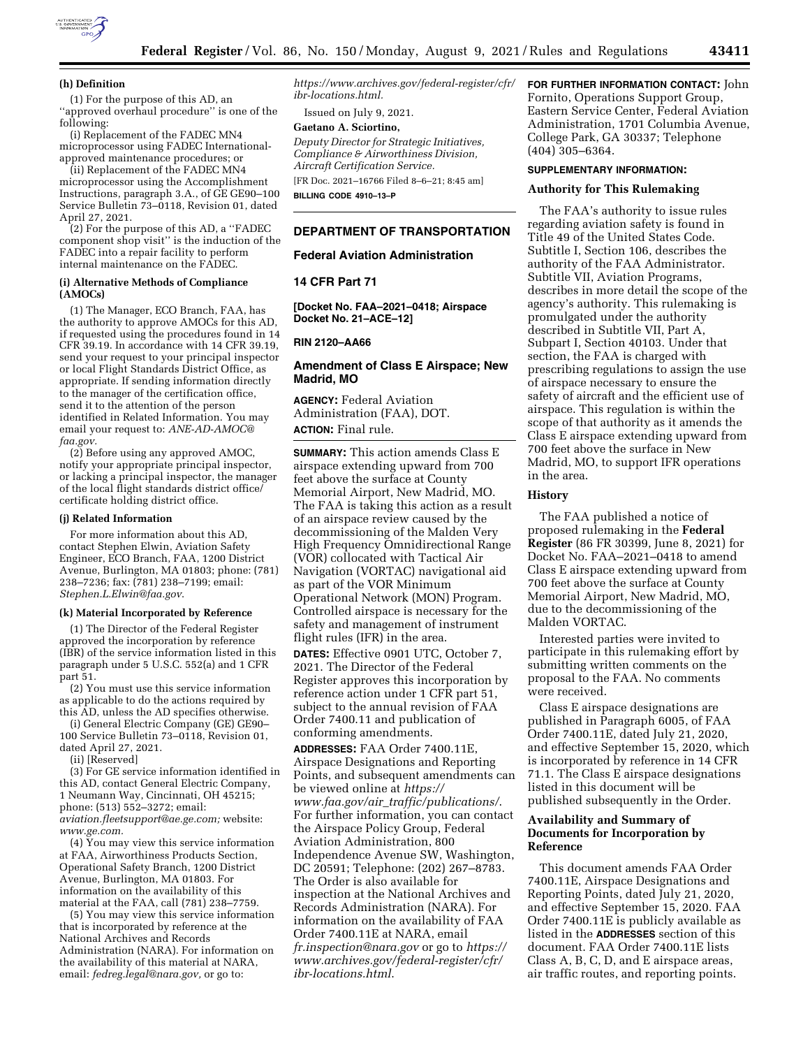

#### **(h) Definition**

(1) For the purpose of this AD, an ''approved overhaul procedure'' is one of the following:

(i) Replacement of the FADEC MN4 microprocessor using FADEC Internationalapproved maintenance procedures; or

(ii) Replacement of the FADEC MN4 microprocessor using the Accomplishment Instructions, paragraph 3.A., of GE GE90–100 Service Bulletin 73-0118, Revision 01, dated April 27, 2021.

(2) For the purpose of this AD, a ''FADEC component shop visit'' is the induction of the FADEC into a repair facility to perform internal maintenance on the FADEC.

#### **(i) Alternative Methods of Compliance (AMOCs)**

(1) The Manager, ECO Branch, FAA, has the authority to approve AMOCs for this AD, if requested using the procedures found in 14 CFR 39.19. In accordance with 14 CFR 39.19, send your request to your principal inspector or local Flight Standards District Office, as appropriate. If sending information directly to the manager of the certification office, send it to the attention of the person identified in Related Information. You may email your request to: *[ANE-AD-AMOC@](mailto:ANE-AD-AMOC@faa.gov) [faa.gov.](mailto:ANE-AD-AMOC@faa.gov)* 

(2) Before using any approved AMOC, notify your appropriate principal inspector, or lacking a principal inspector, the manager of the local flight standards district office/ certificate holding district office.

#### **(j) Related Information**

For more information about this AD, contact Stephen Elwin, Aviation Safety Engineer, ECO Branch, FAA, 1200 District Avenue, Burlington, MA 01803; phone: (781) 238–7236; fax: (781) 238–7199; email: *[Stephen.L.Elwin@faa.gov](mailto:Stephen.L.Elwin@faa.gov)*.

#### **(k) Material Incorporated by Reference**

(1) The Director of the Federal Register approved the incorporation by reference (IBR) of the service information listed in this paragraph under 5 U.S.C. 552(a) and 1 CFR part 51.

(2) You must use this service information as applicable to do the actions required by this AD, unless the AD specifies otherwise.

(i) General Electric Company (GE) GE90– 100 Service Bulletin 73–0118, Revision 01, dated April 27, 2021.

(ii) [Reserved]

(3) For GE service information identified in this AD, contact General Electric Company, 1 Neumann Way, Cincinnati, OH 45215; phone: (513) 552–3272; email: *[aviation.fleetsupport@ae.ge.com;](mailto:aviation.fleetsupport@ae.ge.com)* website: *[www.ge.com.](http://www.ge.com)* 

 $(4)$  You may view this service information at FAA, Airworthiness Products Section, Operational Safety Branch, 1200 District Avenue, Burlington, MA 01803. For information on the availability of this material at the FAA, call (781) 238–7759.

(5) You may view this service information that is incorporated by reference at the National Archives and Records Administration (NARA). For information on the availability of this material at NARA, email: *[fedreg.legal@nara.gov,](mailto:fedreg.legal@nara.gov)* or go to:

*[https://www.archives.gov/federal-register/cfr/](https://www.archives.gov/federal-register/cfr/ibr-locations.html) [ibr-locations.html.](https://www.archives.gov/federal-register/cfr/ibr-locations.html)* 

Issued on July 9, 2021.

## **Gaetano A. Sciortino,**

*Deputy Director for Strategic Initiatives, Compliance & Airworthiness Division, Aircraft Certification Service.*  [FR Doc. 2021–16766 Filed 8–6–21; 8:45 am]

**BILLING CODE 4910–13–P** 

# **DEPARTMENT OF TRANSPORTATION**

# **Federal Aviation Administration**

## **14 CFR Part 71**

**[Docket No. FAA–2021–0418; Airspace Docket No. 21–ACE–12]** 

## **RIN 2120–AA66**

## **Amendment of Class E Airspace; New Madrid, MO**

**AGENCY:** Federal Aviation Administration (FAA), DOT. **ACTION:** Final rule.

**SUMMARY:** This action amends Class E airspace extending upward from 700 feet above the surface at County Memorial Airport, New Madrid, MO. The FAA is taking this action as a result of an airspace review caused by the decommissioning of the Malden Very High Frequency Omnidirectional Range (VOR) collocated with Tactical Air Navigation (VORTAC) navigational aid as part of the VOR Minimum Operational Network (MON) Program. Controlled airspace is necessary for the safety and management of instrument flight rules (IFR) in the area.

**DATES:** Effective 0901 UTC, October 7, 2021. The Director of the Federal Register approves this incorporation by reference action under 1 CFR part 51, subject to the annual revision of FAA Order 7400.11 and publication of conforming amendments.

**ADDRESSES:** FAA Order 7400.11E, Airspace Designations and Reporting Points, and subsequent amendments can be viewed online at *[https://](https://www.faa.gov/air_traffic/publications/) www.faa.gov/air*\_*[traffic/publications/](https://www.faa.gov/air_traffic/publications/)*. For further information, you can contact the Airspace Policy Group, Federal Aviation Administration, 800 Independence Avenue SW, Washington, DC 20591; Telephone: (202) 267–8783. The Order is also available for inspection at the National Archives and Records Administration (NARA). For information on the availability of FAA Order 7400.11E at NARA, email *[fr.inspection@nara.gov](mailto:fr.inspection@nara.gov)* or go to *[https://](https://www.archives.gov/federal-register/cfr/ibr-locations.html)  [www.archives.gov/federal-register/cfr/](https://www.archives.gov/federal-register/cfr/ibr-locations.html)  [ibr-locations.html](https://www.archives.gov/federal-register/cfr/ibr-locations.html)*.

## **FOR FURTHER INFORMATION CONTACT:** John

Fornito, Operations Support Group, Eastern Service Center, Federal Aviation Administration, 1701 Columbia Avenue, College Park, GA 30337; Telephone (404) 305–6364.

# **SUPPLEMENTARY INFORMATION:**

## **Authority for This Rulemaking**

The FAA's authority to issue rules regarding aviation safety is found in Title 49 of the United States Code. Subtitle I, Section 106, describes the authority of the FAA Administrator. Subtitle VII, Aviation Programs, describes in more detail the scope of the agency's authority. This rulemaking is promulgated under the authority described in Subtitle VII, Part A, Subpart I, Section 40103. Under that section, the FAA is charged with prescribing regulations to assign the use of airspace necessary to ensure the safety of aircraft and the efficient use of airspace. This regulation is within the scope of that authority as it amends the Class E airspace extending upward from 700 feet above the surface in New Madrid, MO, to support IFR operations in the area.

# **History**

The FAA published a notice of proposed rulemaking in the **Federal Register** (86 FR 30399, June 8, 2021) for Docket No. FAA–2021–0418 to amend Class E airspace extending upward from 700 feet above the surface at County Memorial Airport, New Madrid, MO, due to the decommissioning of the Malden VORTAC.

Interested parties were invited to participate in this rulemaking effort by submitting written comments on the proposal to the FAA. No comments were received.

Class E airspace designations are published in Paragraph 6005, of FAA Order 7400.11E, dated July 21, 2020, and effective September 15, 2020, which is incorporated by reference in 14 CFR 71.1. The Class E airspace designations listed in this document will be published subsequently in the Order.

# **Availability and Summary of Documents for Incorporation by Reference**

This document amends FAA Order 7400.11E, Airspace Designations and Reporting Points, dated July 21, 2020, and effective September 15, 2020. FAA Order 7400.11E is publicly available as listed in the **ADDRESSES** section of this document. FAA Order 7400.11E lists Class A, B, C, D, and E airspace areas, air traffic routes, and reporting points.